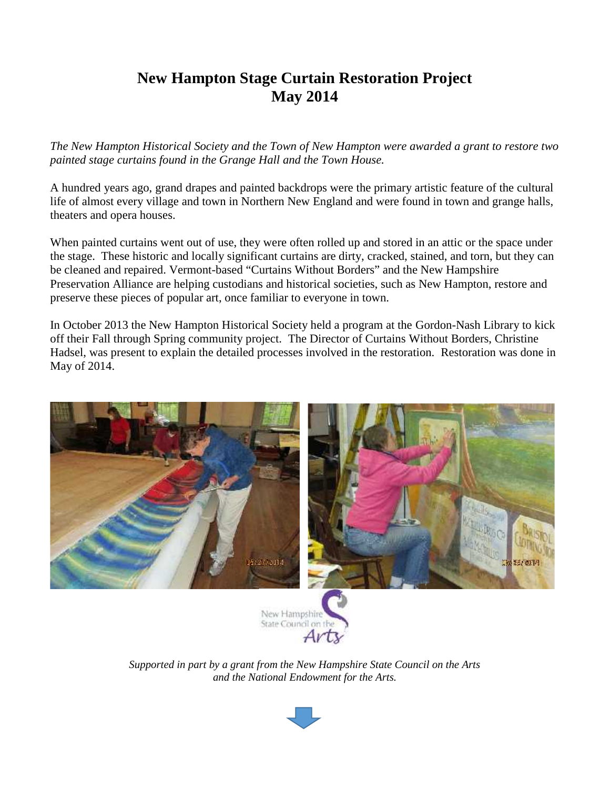## **New Hampton Stage Curtain Restoration Project May 2014**

*The New Hampton Historical Society and the Town of New Hampton were awarded a grant to restore two painted stage curtains found in the Grange Hall and the Town House.*

A hundred years ago, grand drapes and painted backdrops were the primary artistic feature of the cultural life of almost every village and town in Northern New England and were found in town and grange halls, theaters and opera houses.

When painted curtains went out of use, they were often rolled up and stored in an attic or the space under the stage. These historic and locally significant curtains are dirty, cracked, stained, and torn, but they can be cleaned and repaired. Vermont-based "Curtains Without Borders" and the New Hampshire Preservation Alliance are helping custodians and historical societies, such as New Hampton, restore and preserve these pieces of popular art, once familiar to everyone in town.

In October 2013 the New Hampton Historical Society held a program at the Gordon-Nash Library to kick off their Fall through Spring community project. The Director of Curtains Without Borders, Christine Hadsel, was present to explain the detailed processes involved in the restoration. Restoration was done in May of 2014.







*Supported in part by a grant from the New Hampshire State Council on the Arts and the National Endowment for the Arts.*

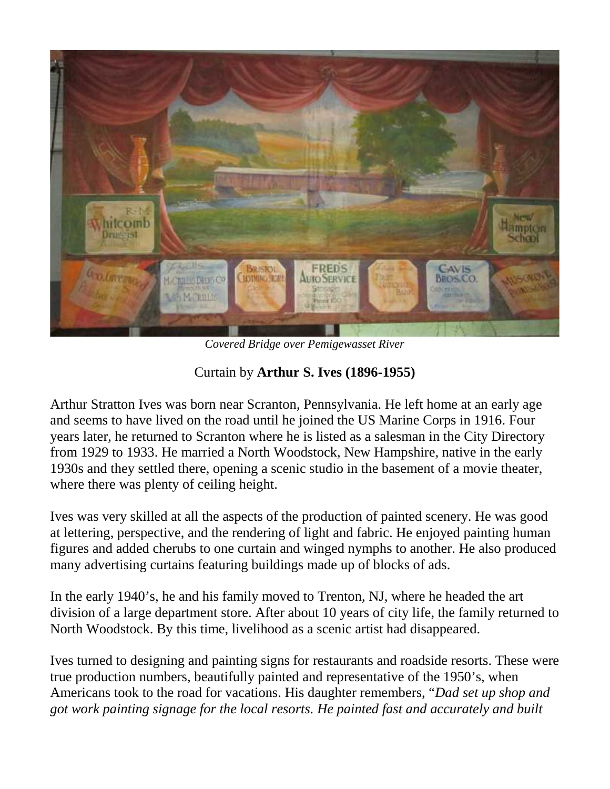

*Covered Bridge over Pemigewasset River*

## Curtain by **Arthur S. Ives (1896-1955)**

Arthur Stratton Ives was born near Scranton, Pennsylvania. He left home at an early age and seems to have lived on the road until he joined the US Marine Corps in 1916. Four years later, he returned to Scranton where he is listed as a salesman in the City Directory from 1929 to 1933. He married a North Woodstock, New Hampshire, native in the early 1930s and they settled there, opening a scenic studio in the basement of a movie theater, where there was plenty of ceiling height.

Ives was very skilled at all the aspects of the production of painted scenery. He was good at lettering, perspective, and the rendering of light and fabric. He enjoyed painting human figures and added cherubs to one curtain and winged nymphs to another. He also produced many advertising curtains featuring buildings made up of blocks of ads.

In the early 1940's, he and his family moved to Trenton, NJ, where he headed the art division of a large department store. After about 10 years of city life, the family returned to North Woodstock. By this time, livelihood as a scenic artist had disappeared.

Ives turned to designing and painting signs for restaurants and roadside resorts. These were true production numbers, beautifully painted and representative of the 1950's, when Americans took to the road for vacations. His daughter remembers, "*Dad set up shop and got work painting signage for the local resorts. He painted fast and accurately and built*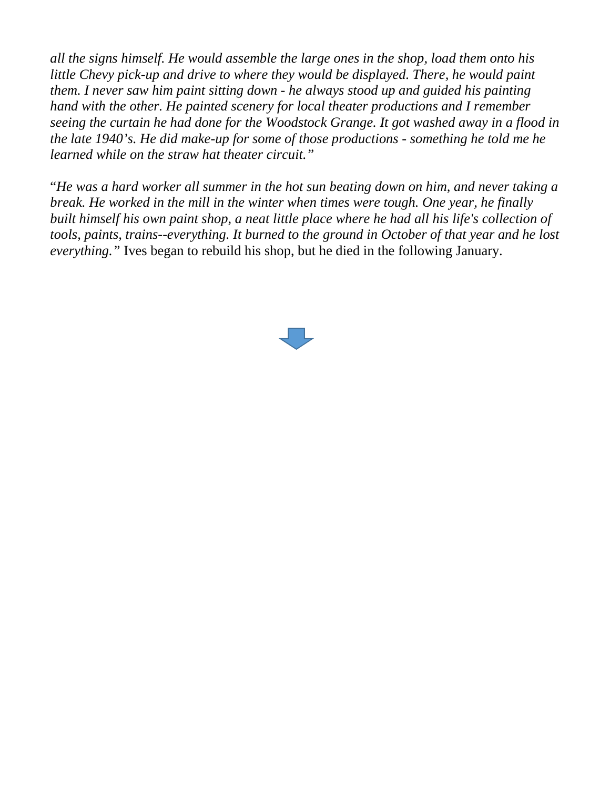*all the signs himself. He would assemble the large ones in the shop, load them onto his little Chevy pick-up and drive to where they would be displayed. There, he would paint them. I never saw him paint sitting down - he always stood up and guided his painting hand with the other. He painted scenery for local theater productions and I remember seeing the curtain he had done for the Woodstock Grange. It got washed away in a flood in the late 1940's. He did make-up for some of those productions - something he told me he learned while on the straw hat theater circuit."*

"*He was a hard worker all summer in the hot sun beating down on him, and never taking a break. He worked in the mill in the winter when times were tough. One year, he finally built himself his own paint shop, a neat little place where he had all his life's collection of tools, paints, trains--everything. It burned to the ground in October of that year and he lost everything."* Ives began to rebuild his shop, but he died in the following January.